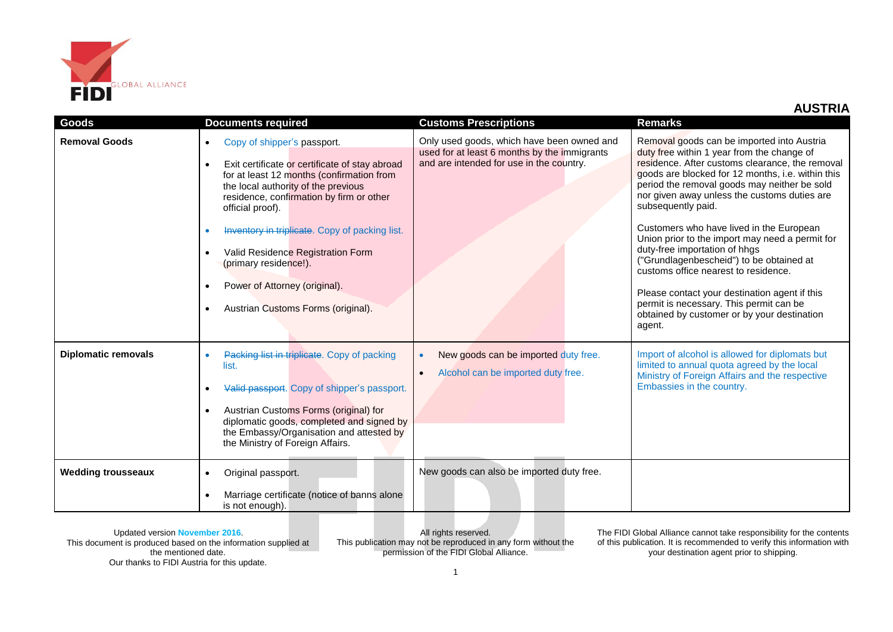

| Goods                      | <b>Documents required</b>                                                                                                                                                                                                                                                                                                                                                                                                                                                                 | <b>Customs Prescriptions</b>                                                                                                           | <b>Remarks</b>                                                                                                                                                                                                                                                                                                                                                                                                                                                                                                                                                                                                                                                                                  |
|----------------------------|-------------------------------------------------------------------------------------------------------------------------------------------------------------------------------------------------------------------------------------------------------------------------------------------------------------------------------------------------------------------------------------------------------------------------------------------------------------------------------------------|----------------------------------------------------------------------------------------------------------------------------------------|-------------------------------------------------------------------------------------------------------------------------------------------------------------------------------------------------------------------------------------------------------------------------------------------------------------------------------------------------------------------------------------------------------------------------------------------------------------------------------------------------------------------------------------------------------------------------------------------------------------------------------------------------------------------------------------------------|
| <b>Removal Goods</b>       | Copy of shipper's passport.<br>$\bullet$<br>Exit certificate or certificate of stay abroad<br>$\bullet$<br>for at least 12 months (confirmation from<br>the local authority of the previous<br>residence, confirmation by firm or other<br>official proof).<br>Inventory in triplicate. Copy of packing list.<br>Valid Residence Registration Form<br>$\bullet$<br>(primary residence!).<br>Power of Attorney (original).<br>$\bullet$<br>Austrian Customs Forms (original).<br>$\bullet$ | Only used goods, which have been owned and<br>used for at least 6 months by the immigrants<br>and are intended for use in the country. | Removal goods can be imported into Austria<br>duty free within 1 year from the change of<br>residence. After customs clearance, the removal<br>goods are blocked for 12 months, i.e. within this<br>period the removal goods may neither be sold<br>nor given away unless the customs duties are<br>subsequently paid.<br>Customers who have lived in the European<br>Union prior to the import may need a permit for<br>duty-free importation of hhgs<br>("Grundlagenbescheid") to be obtained at<br>customs office nearest to residence.<br>Please contact your destination agent if this<br>permit is necessary. This permit can be<br>obtained by customer or by your destination<br>agent. |
| <b>Diplomatic removals</b> | Packing list in triplicate. Copy of packing<br>list.<br>Valid passport. Copy of shipper's passport.<br>Austrian Customs Forms (original) for<br>$\bullet$<br>diplomatic goods, completed and signed by<br>the Embassy/Organisation and attested by<br>the Ministry of Foreign Affairs.                                                                                                                                                                                                    | New goods can be imported duty free.<br>$\bullet$<br>Alcohol can be imported duty free.<br>$\bullet$                                   | Import of alcohol is allowed for diplomats but<br>limited to annual quota agreed by the local<br>Ministry of Foreign Affairs and the respective<br>Embassies in the country.                                                                                                                                                                                                                                                                                                                                                                                                                                                                                                                    |
| <b>Wedding trousseaux</b>  | Original passport.<br>$\bullet$<br>Marriage certificate (notice of banns alone<br>is not enough).                                                                                                                                                                                                                                                                                                                                                                                         | New goods can also be imported duty free.                                                                                              |                                                                                                                                                                                                                                                                                                                                                                                                                                                                                                                                                                                                                                                                                                 |

Updated version **November 2016**. This document is produced based on the information supplied at the mentioned date. Our thanks to FIDI Austria for this update.

All rights reserved. This publication may not be reproduced in any form without the permission of the FIDI Global Alliance.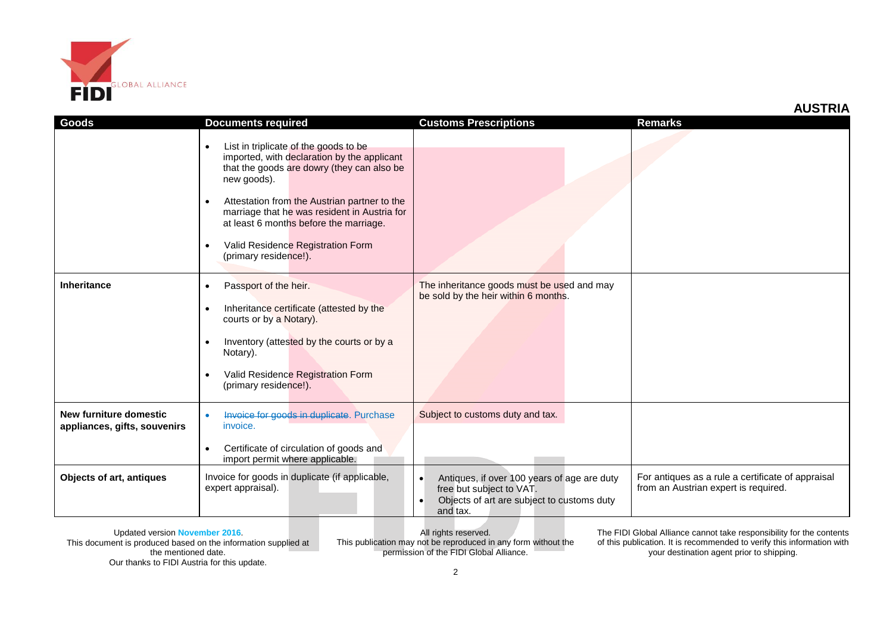

| <b>Goods</b>                                           | <b>Documents required</b>                                                                                                                                      | <b>Customs Prescriptions</b>                                                                                                                                | <b>Remarks</b>                                                                            |
|--------------------------------------------------------|----------------------------------------------------------------------------------------------------------------------------------------------------------------|-------------------------------------------------------------------------------------------------------------------------------------------------------------|-------------------------------------------------------------------------------------------|
|                                                        |                                                                                                                                                                |                                                                                                                                                             |                                                                                           |
|                                                        | List in triplicate of the goods to be<br>$\bullet$<br>imported, with declaration by the applicant<br>that the goods are dowry (they can also be<br>new goods). |                                                                                                                                                             |                                                                                           |
|                                                        | Attestation from the Austrian partner to the<br>$\bullet$<br>marriage that he was resident in Austria for<br>at least 6 months before the marriage.            |                                                                                                                                                             |                                                                                           |
|                                                        | Valid Residence Registration Form<br>(primary residence!).                                                                                                     |                                                                                                                                                             |                                                                                           |
| Inheritance                                            | Passport of the heir.<br>$\bullet$                                                                                                                             | The inheritance goods must be used and may<br>be sold by the heir within 6 months.                                                                          |                                                                                           |
|                                                        | Inheritance certificate (attested by the<br>$\bullet$<br>courts or by a Notary).                                                                               |                                                                                                                                                             |                                                                                           |
|                                                        | Inventory (attested by the courts or by a<br>$\bullet$<br>Notary).                                                                                             |                                                                                                                                                             |                                                                                           |
|                                                        | Valid Residence Registration Form<br>٠<br>(primary residence!).                                                                                                |                                                                                                                                                             |                                                                                           |
| New furniture domestic<br>appliances, gifts, souvenirs | Invoice for goods in duplicate. Purchase<br>$\bullet$<br>invoice.                                                                                              | Subject to customs duty and tax.                                                                                                                            |                                                                                           |
|                                                        | Certificate of circulation of goods and<br>$\bullet$<br>import permit where applicable.                                                                        |                                                                                                                                                             |                                                                                           |
| Objects of art, antiques                               | Invoice for goods in duplicate (if applicable,<br>expert appraisal).                                                                                           | Antiques, if over 100 years of age are duty<br>$\bullet$<br>free but subject to VAT.<br>Objects of art are subject to customs duty<br>$\bullet$<br>and tax. | For antiques as a rule a certificate of appraisal<br>from an Austrian expert is required. |

Updated version **November 2016**. This document is produced based on the information supplied at the mentioned date. Our thanks to FIDI Austria for this update.

All rights reserved. This publication may not be reproduced in any form without the permission of the FIDI Global Alliance.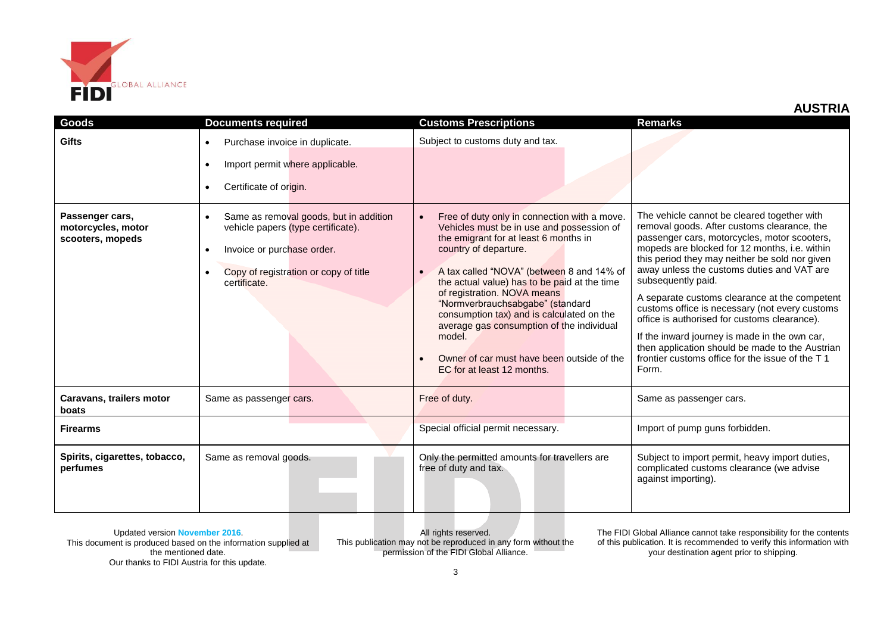

| <b>Goods</b>                                              | <b>Documents required</b>                                                                                                                                                                     | <b>Customs Prescriptions</b>                                                                                                                                                                                                                                                                                                                                                                                                                                                                                | <b>Remarks</b>                                                                                                                                                                                                                                                                                                                                                                                                                                                                                                                                                                                                                       |
|-----------------------------------------------------------|-----------------------------------------------------------------------------------------------------------------------------------------------------------------------------------------------|-------------------------------------------------------------------------------------------------------------------------------------------------------------------------------------------------------------------------------------------------------------------------------------------------------------------------------------------------------------------------------------------------------------------------------------------------------------------------------------------------------------|--------------------------------------------------------------------------------------------------------------------------------------------------------------------------------------------------------------------------------------------------------------------------------------------------------------------------------------------------------------------------------------------------------------------------------------------------------------------------------------------------------------------------------------------------------------------------------------------------------------------------------------|
| <b>Gifts</b>                                              | Purchase invoice in duplicate.<br>$\bullet$<br>Import permit where applicable.<br>$\bullet$<br>Certificate of origin.<br>$\bullet$                                                            | Subject to customs duty and tax.                                                                                                                                                                                                                                                                                                                                                                                                                                                                            |                                                                                                                                                                                                                                                                                                                                                                                                                                                                                                                                                                                                                                      |
| Passenger cars,<br>motorcycles, motor<br>scooters, mopeds | Same as removal goods, but in addition<br>$\bullet$<br>vehicle papers (type certificate).<br>Invoice or purchase order.<br>$\bullet$<br>Copy of registration or copy of title<br>certificate. | Free of duty only in connection with a move.<br>Vehicles must be in use and possession of<br>the emigrant for at least 6 months in<br>country of departure.<br>A tax called "NOVA" (between 8 and 14% of<br>the actual value) has to be paid at the time<br>of registration. NOVA means<br>"Normverbrauchsabgabe" (standard<br>consumption tax) and is calculated on the<br>average gas consumption of the individual<br>model.<br>Owner of car must have been outside of the<br>EC for at least 12 months. | The vehicle cannot be cleared together with<br>removal goods. After customs clearance, the<br>passenger cars, motorcycles, motor scooters,<br>mopeds are blocked for 12 months, i.e. within<br>this period they may neither be sold nor given<br>away unless the customs duties and VAT are<br>subsequently paid.<br>A separate customs clearance at the competent<br>customs office is necessary (not every customs<br>office is authorised for customs clearance).<br>If the inward journey is made in the own car,<br>then application should be made to the Austrian<br>frontier customs office for the issue of the T1<br>Form. |
| Caravans, trailers motor<br>boats                         | Same as passenger cars.                                                                                                                                                                       | Free of duty.                                                                                                                                                                                                                                                                                                                                                                                                                                                                                               | Same as passenger cars.                                                                                                                                                                                                                                                                                                                                                                                                                                                                                                                                                                                                              |
| <b>Firearms</b>                                           |                                                                                                                                                                                               | Special official permit necessary.                                                                                                                                                                                                                                                                                                                                                                                                                                                                          | Import of pump guns forbidden.                                                                                                                                                                                                                                                                                                                                                                                                                                                                                                                                                                                                       |
| Spirits, cigarettes, tobacco,<br>perfumes                 | Same as removal goods.                                                                                                                                                                        | Only the permitted amounts for travellers are<br>free of duty and tax.                                                                                                                                                                                                                                                                                                                                                                                                                                      | Subject to import permit, heavy import duties,<br>complicated customs clearance (we advise<br>against importing).                                                                                                                                                                                                                                                                                                                                                                                                                                                                                                                    |

Updated version **November 2016**. This document is produced based on the information supplied at the mentioned date. Our thanks to FIDI Austria for this update.

All rights reserved. This publication may not be reproduced in any form without the permission of the FIDI Global Alliance.